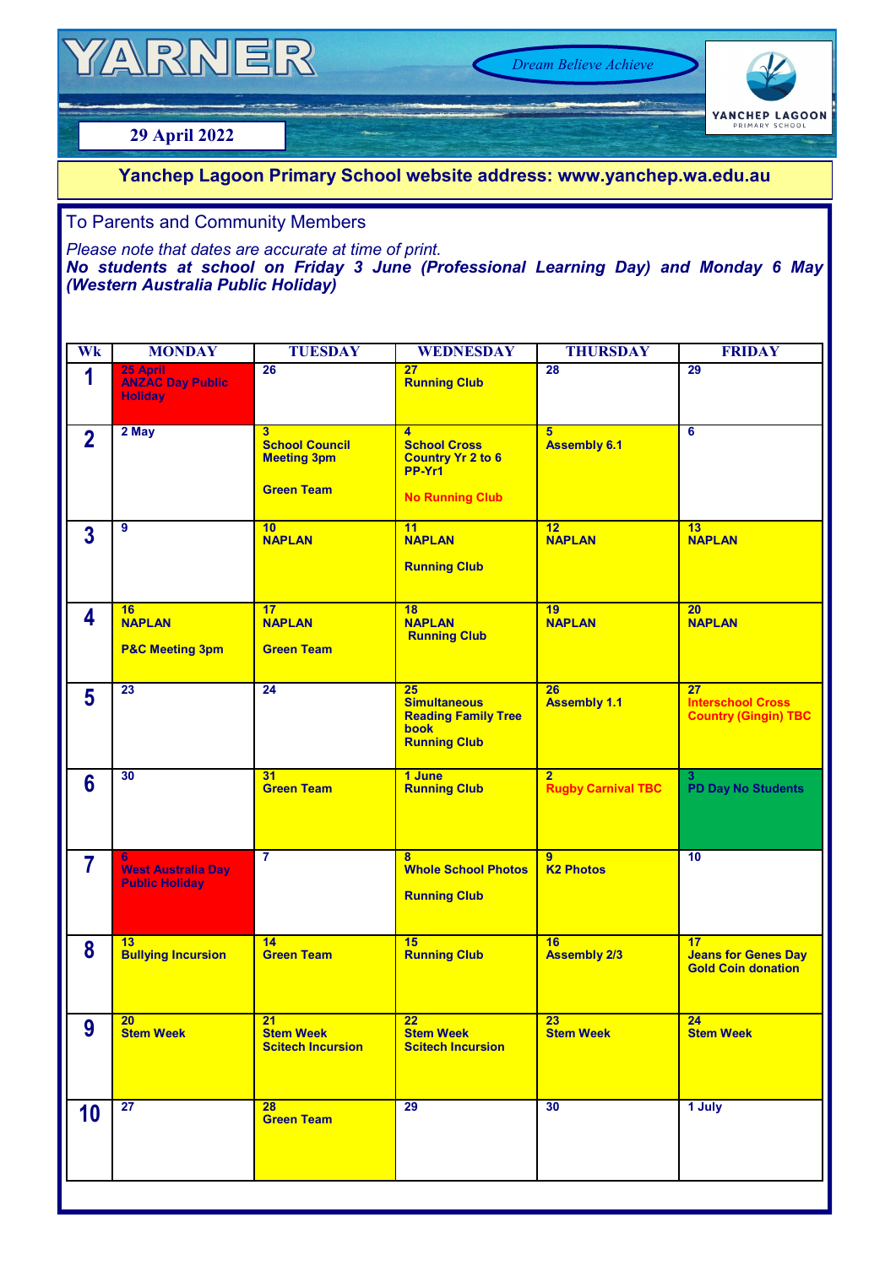# YARNER

*Dream Believe Achieve*

# YANCHEP LAGOON

## **29 April 2022**

### **Yanchep Lagoon Primary School website address: www.yanchep.wa.edu.au**

#### To Parents and Community Members

*Please note that dates are accurate at time of print. No students at school on Friday 3 June (Professional Learning Day) and Monday 6 May (Western Australia Public Holiday)*

| Wk              | <b>MONDAY</b>                                           | <b>TUESDAY</b>                                                                     | <b>WEDNESDAY</b>                                                                                      | <b>THURSDAY</b>                             | <b>FRIDAY</b>                                                 |
|-----------------|---------------------------------------------------------|------------------------------------------------------------------------------------|-------------------------------------------------------------------------------------------------------|---------------------------------------------|---------------------------------------------------------------|
| 1               | 25 April<br><b>ANZAC Day Public</b><br><b>Holiday</b>   | 26                                                                                 | 27<br><b>Running Club</b>                                                                             | 28                                          | 29                                                            |
| $\overline{2}$  | 2 May                                                   | $\overline{3}$<br><b>School Council</b><br><b>Meeting 3pm</b><br><b>Green Team</b> | $\overline{4}$<br><b>School Cross</b><br><b>Country Yr 2 to 6</b><br>PP-Yr1<br><b>No Running Club</b> | 5<br><b>Assembly 6.1</b>                    | $\overline{6}$                                                |
| $\overline{3}$  | 9                                                       | 10<br><b>NAPLAN</b>                                                                | 11<br><b>NAPLAN</b><br><b>Running Club</b>                                                            | 12<br><b>NAPLAN</b>                         | 13<br><b>NAPLAN</b>                                           |
| 4               | 16<br><b>NAPLAN</b><br><b>P&amp;C Meeting 3pm</b>       | 17<br><b>NAPLAN</b><br><b>Green Team</b>                                           | 18<br><b>NAPLAN</b><br><b>Running Club</b>                                                            | 19<br><b>NAPLAN</b>                         | 20 <sub>2</sub><br><b>NAPLAN</b>                              |
| $5\phantom{1}$  | 23                                                      | 24                                                                                 | 25<br><b>Simultaneous</b><br><b>Reading Family Tree</b><br>book<br><b>Running Club</b>                | 26<br><b>Assembly 1.1</b>                   | 27<br><b>Interschool Cross</b><br><b>Country (Gingin) TBC</b> |
| $6\phantom{1}6$ | 30                                                      | 31<br><b>Green Team</b>                                                            | 1 June<br><b>Running Club</b>                                                                         | 2 <sup>1</sup><br><b>Rugby Carnival TBC</b> | 3<br><b>PD Day No Students</b>                                |
| $\overline{7}$  | 6<br><b>West Australia Day</b><br><b>Public Holiday</b> | $\overline{\mathbf{7}}$                                                            | 8<br><b>Whole School Photos</b><br><b>Running Club</b>                                                | $\overline{9}$<br><b>K2 Photos</b>          | 10                                                            |
| 8               | 13<br><b>Bullying Incursion</b>                         | 14<br><b>Green Team</b>                                                            | 15<br><b>Running Club</b>                                                                             | 16<br><b>Assembly 2/3</b>                   | 17<br><b>Jeans for Genes Day</b><br><b>Gold Coin donation</b> |
| 9               | 20<br><b>Stem Week</b>                                  | 21<br><b>Stem Week</b><br><b>Scitech Incursion</b>                                 | $\overline{22}$<br><b>Stem Week</b><br><b>Scitech Incursion</b>                                       | 23<br><b>Stem Week</b>                      | 24<br><b>Stem Week</b>                                        |
| 10              | 27                                                      | 28<br><b>Green Team</b>                                                            | 29                                                                                                    | 30                                          | 1 July                                                        |
|                 |                                                         |                                                                                    |                                                                                                       |                                             |                                                               |